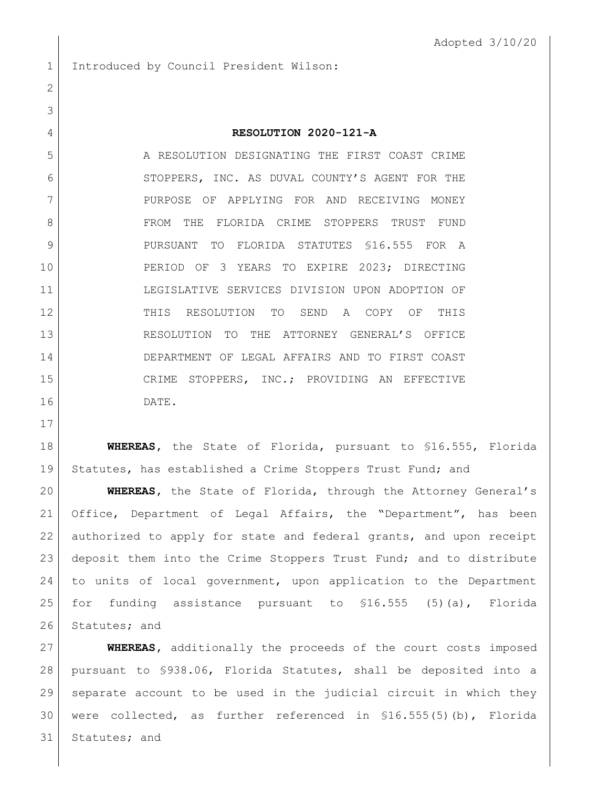Introduced by Council President Wilson:

## **RESOLUTION 2020-121-A**

 A RESOLUTION DESIGNATING THE FIRST COAST CRIME 6 STOPPERS, INC. AS DUVAL COUNTY'S AGENT FOR THE 7 | PURPOSE OF APPLYING FOR AND RECEIVING MONEY FROM THE FLORIDA CRIME STOPPERS TRUST FUND 9 PURSUANT TO FLORIDA STATUTES \$16.555 FOR A PERIOD OF 3 YEARS TO EXPIRE 2023; DIRECTING LEGISLATIVE SERVICES DIVISION UPON ADOPTION OF THIS RESOLUTION TO SEND A COPY OF THIS RESOLUTION TO THE ATTORNEY GENERAL'S OFFICE DEPARTMENT OF LEGAL AFFAIRS AND TO FIRST COAST CRIME STOPPERS, INC.; PROVIDING AN EFFECTIVE DATE.

 **WHEREAS,** the State of Florida, pursuant to §16.555, Florida Statutes, has established a Crime Stoppers Trust Fund; and

 **WHEREAS,** the State of Florida, through the Attorney General's Office, Department of Legal Affairs, the "Department", has been authorized to apply for state and federal grants, and upon receipt deposit them into the Crime Stoppers Trust Fund; and to distribute to units of local government, upon application to the Department for funding assistance pursuant to §16.555 (5)(a), Florida 26 Statutes; and

 **WHEREAS,** additionally the proceeds of the court costs imposed pursuant to §938.06, Florida Statutes, shall be deposited into a separate account to be used in the judicial circuit in which they were collected, as further referenced in §16.555(5)(b), Florida 31 Statutes; and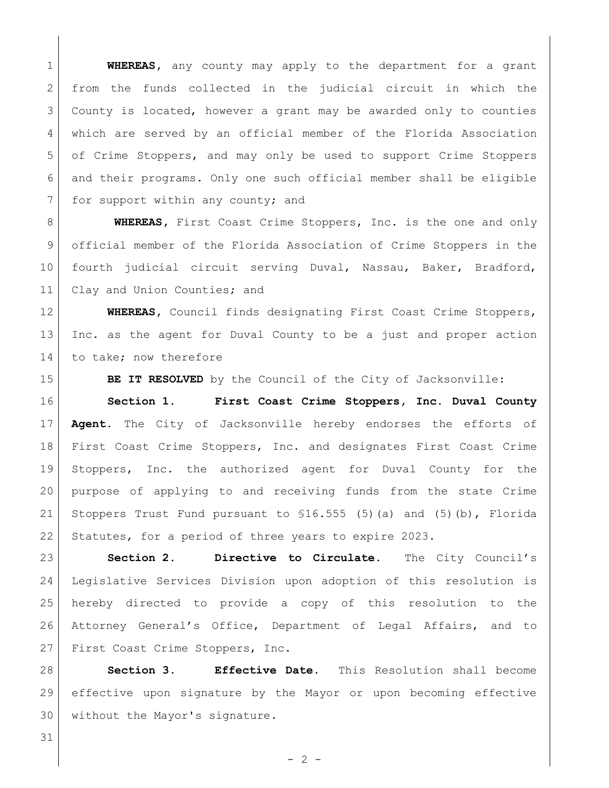**WHEREAS,** any county may apply to the department for a grant 2 from the funds collected in the judicial circuit in which the County is located, however a grant may be awarded only to counties 4 which are served by an official member of the Florida Association of Crime Stoppers, and may only be used to support Crime Stoppers and their programs. Only one such official member shall be eligible 7 for support within any county; and

**WHEREAS,** First Coast Crime Stoppers, Inc. is the one and only official member of the Florida Association of Crime Stoppers in the 10 fourth judicial circuit serving Duval, Nassau, Baker, Bradford, 11 Clay and Union Counties; and

 **WHEREAS,** Council finds designating First Coast Crime Stoppers, Inc. as the agent for Duval County to be a just and proper action 14 to take; now therefore

15 | BE IT RESOLVED by the Council of the City of Jacksonville:

 **Section 1. First Coast Crime Stoppers, Inc. Duval County Agent.** The City of Jacksonville hereby endorses the efforts of First Coast Crime Stoppers, Inc. and designates First Coast Crime Stoppers, Inc. the authorized agent for Duval County for the purpose of applying to and receiving funds from the state Crime Stoppers Trust Fund pursuant to §16.555 (5)(a) and (5)(b), Florida 22 Statutes, for a period of three years to expire 2023.

 **Section 2. Directive to Circulate.** The City Council's Legislative Services Division upon adoption of this resolution is hereby directed to provide a copy of this resolution to the Attorney General's Office, Department of Legal Affairs, and to 27 First Coast Crime Stoppers, Inc.

 **Section 3. Effective Date.** This Resolution shall become effective upon signature by the Mayor or upon becoming effective without the Mayor's signature.